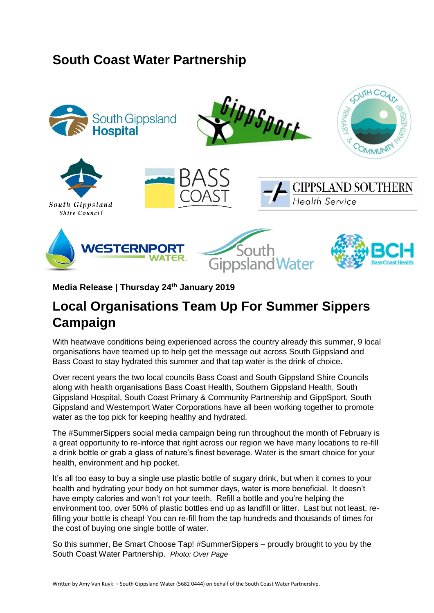## **South Coast Water Partnership**



## **Media Release | Thursday 24th January 2019**

## **Local Organisations Team Up For Summer Sippers Campaign**

With heatwave conditions being experienced across the country already this summer, 9 local organisations have teamed up to help get the message out across South Gippsland and Bass Coast to stay hydrated this summer and that tap water is the drink of choice.

Over recent years the two local councils Bass Coast and South Gippsland Shire Councils along with health organisations Bass Coast Health, Southern Gippsland Health, South Gippsland Hospital, South Coast Primary & Community Partnership and GippSport, South Gippsland and Westernport Water Corporations have all been working together to promote water as the top pick for keeping healthy and hydrated.

The #SummerSippers social media campaign being run throughout the month of February is a great opportunity to re-inforce that right across our region we have many locations to re-fill a drink bottle or grab a glass of nature's finest beverage. Water is the smart choice for your health, environment and hip pocket.

It's all too easy to buy a single use plastic bottle of sugary drink, but when it comes to your health and hydrating your body on hot summer days, water is more beneficial. It doesn't have empty calories and won't rot your teeth. Refill a bottle and you're helping the environment too, over 50% of plastic bottles end up as landfill or litter. Last but not least, refilling your bottle is cheap! You can re-fill from the tap hundreds and thousands of times for the cost of buying one single bottle of water.

So this summer, Be Smart Choose Tap! #SummerSippers – proudly brought to you by the South Coast Water Partnership. *Photo: Over Page*